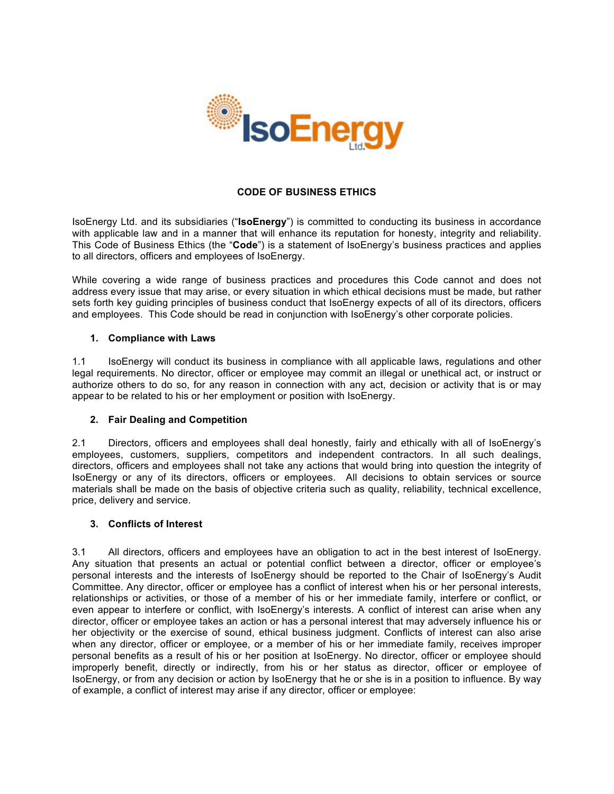

## **CODE OF BUSINESS ETHICS**

IsoEnergy Ltd. and its subsidiaries ("**IsoEnergy**") is committed to conducting its business in accordance with applicable law and in a manner that will enhance its reputation for honesty, integrity and reliability. This Code of Business Ethics (the "**Code**") is a statement of IsoEnergy's business practices and applies to all directors, officers and employees of IsoEnergy.

While covering a wide range of business practices and procedures this Code cannot and does not address every issue that may arise, or every situation in which ethical decisions must be made, but rather sets forth key guiding principles of business conduct that IsoEnergy expects of all of its directors, officers and employees. This Code should be read in conjunction with IsoEnergy's other corporate policies.

### **1. Compliance with Laws**

1.1 IsoEnergy will conduct its business in compliance with all applicable laws, regulations and other legal requirements. No director, officer or employee may commit an illegal or unethical act, or instruct or authorize others to do so, for any reason in connection with any act, decision or activity that is or may appear to be related to his or her employment or position with IsoEnergy.

## **2. Fair Dealing and Competition**

2.1 Directors, officers and employees shall deal honestly, fairly and ethically with all of IsoEnergy's employees, customers, suppliers, competitors and independent contractors. In all such dealings, directors, officers and employees shall not take any actions that would bring into question the integrity of IsoEnergy or any of its directors, officers or employees. All decisions to obtain services or source materials shall be made on the basis of objective criteria such as quality, reliability, technical excellence, price, delivery and service.

#### **3. Conflicts of Interest**

3.1 All directors, officers and employees have an obligation to act in the best interest of IsoEnergy. Any situation that presents an actual or potential conflict between a director, officer or employee's personal interests and the interests of IsoEnergy should be reported to the Chair of IsoEnergy's Audit Committee. Any director, officer or employee has a conflict of interest when his or her personal interests, relationships or activities, or those of a member of his or her immediate family, interfere or conflict, or even appear to interfere or conflict, with IsoEnergy's interests. A conflict of interest can arise when any director, officer or employee takes an action or has a personal interest that may adversely influence his or her objectivity or the exercise of sound, ethical business judgment. Conflicts of interest can also arise when any director, officer or employee, or a member of his or her immediate family, receives improper personal benefits as a result of his or her position at IsoEnergy. No director, officer or employee should improperly benefit, directly or indirectly, from his or her status as director, officer or employee of IsoEnergy, or from any decision or action by IsoEnergy that he or she is in a position to influence. By way of example, a conflict of interest may arise if any director, officer or employee: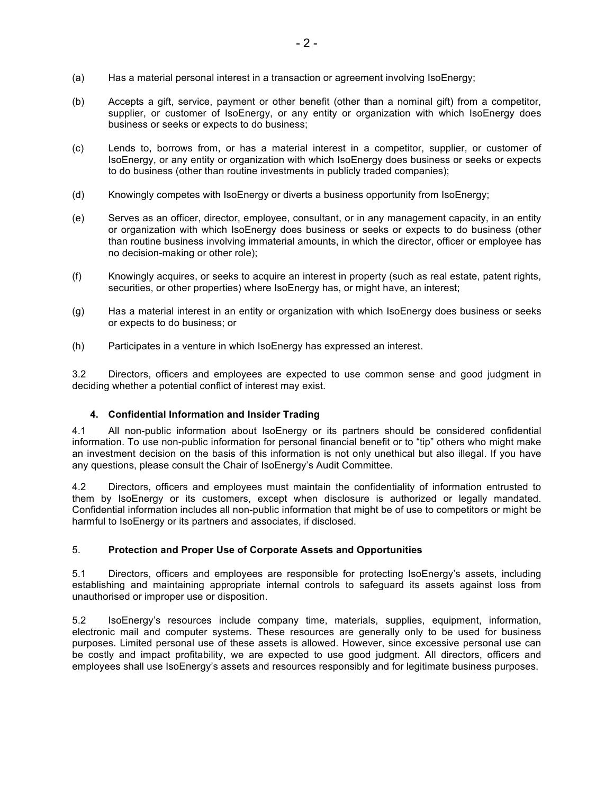- (a) Has a material personal interest in a transaction or agreement involving IsoEnergy;
- (b) Accepts a gift, service, payment or other benefit (other than a nominal gift) from a competitor, supplier, or customer of IsoEnergy, or any entity or organization with which IsoEnergy does business or seeks or expects to do business;
- (c) Lends to, borrows from, or has a material interest in a competitor, supplier, or customer of IsoEnergy, or any entity or organization with which IsoEnergy does business or seeks or expects to do business (other than routine investments in publicly traded companies);
- (d) Knowingly competes with IsoEnergy or diverts a business opportunity from IsoEnergy;
- (e) Serves as an officer, director, employee, consultant, or in any management capacity, in an entity or organization with which IsoEnergy does business or seeks or expects to do business (other than routine business involving immaterial amounts, in which the director, officer or employee has no decision-making or other role);
- (f) Knowingly acquires, or seeks to acquire an interest in property (such as real estate, patent rights, securities, or other properties) where IsoEnergy has, or might have, an interest;
- (g) Has a material interest in an entity or organization with which IsoEnergy does business or seeks or expects to do business; or
- (h) Participates in a venture in which IsoEnergy has expressed an interest.

3.2 Directors, officers and employees are expected to use common sense and good judgment in deciding whether a potential conflict of interest may exist.

## **4. Confidential Information and Insider Trading**

4.1 All non-public information about IsoEnergy or its partners should be considered confidential information. To use non-public information for personal financial benefit or to "tip" others who might make an investment decision on the basis of this information is not only unethical but also illegal. If you have any questions, please consult the Chair of IsoEnergy's Audit Committee.

4.2 Directors, officers and employees must maintain the confidentiality of information entrusted to them by IsoEnergy or its customers, except when disclosure is authorized or legally mandated. Confidential information includes all non-public information that might be of use to competitors or might be harmful to IsoEnergy or its partners and associates, if disclosed.

## 5. **Protection and Proper Use of Corporate Assets and Opportunities**

5.1 Directors, officers and employees are responsible for protecting IsoEnergy's assets, including establishing and maintaining appropriate internal controls to safeguard its assets against loss from unauthorised or improper use or disposition.

5.2 IsoEnergy's resources include company time, materials, supplies, equipment, information, electronic mail and computer systems. These resources are generally only to be used for business purposes. Limited personal use of these assets is allowed. However, since excessive personal use can be costly and impact profitability, we are expected to use good judgment. All directors, officers and employees shall use IsoEnergy's assets and resources responsibly and for legitimate business purposes.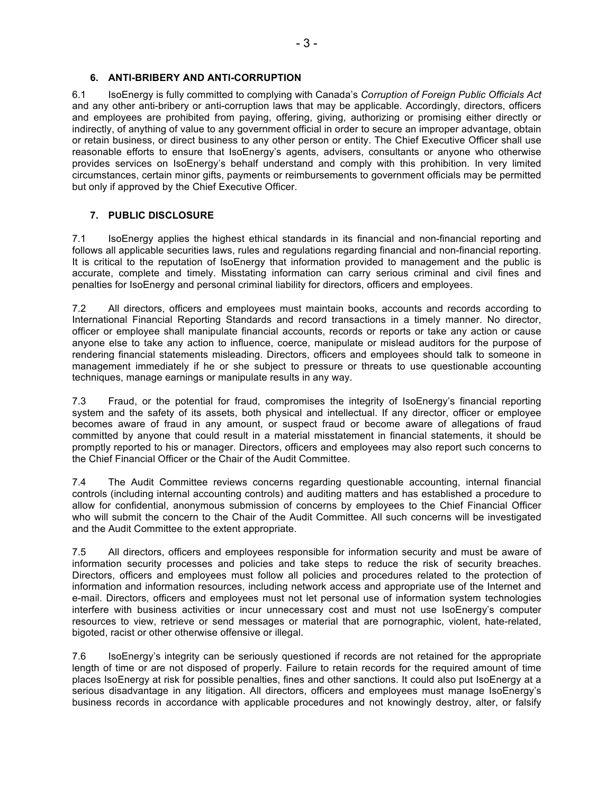# **6. ANTI-BRIBERY AND ANTI-CORRUPTION**

6.1 IsoEnergy is fully committed to complying with Canada's *Corruption of Foreign Public Officials Act* and any other anti-bribery or anti-corruption laws that may be applicable. Accordingly, directors, officers and employees are prohibited from paying, offering, giving, authorizing or promising either directly or indirectly, of anything of value to any government official in order to secure an improper advantage, obtain or retain business, or direct business to any other person or entity. The Chief Executive Officer shall use reasonable efforts to ensure that IsoEnergy's agents, advisers, consultants or anyone who otherwise provides services on IsoEnergy's behalf understand and comply with this prohibition. In very limited circumstances, certain minor gifts, payments or reimbursements to government officials may be permitted but only if approved by the Chief Executive Officer.

### **7. PUBLIC DISCLOSURE**

7.1 IsoEnergy applies the highest ethical standards in its financial and non-financial reporting and follows all applicable securities laws, rules and regulations regarding financial and non-financial reporting. It is critical to the reputation of IsoEnergy that information provided to management and the public is accurate, complete and timely. Misstating information can carry serious criminal and civil fines and penalties for IsoEnergy and personal criminal liability for directors, officers and employees.

7.2 All directors, officers and employees must maintain books, accounts and records according to International Financial Reporting Standards and record transactions in a timely manner. No director, officer or employee shall manipulate financial accounts, records or reports or take any action or cause anyone else to take any action to influence, coerce, manipulate or mislead auditors for the purpose of rendering financial statements misleading. Directors, officers and employees should talk to someone in management immediately if he or she subject to pressure or threats to use questionable accounting techniques, manage earnings or manipulate results in any way.

7.3 Fraud, or the potential for fraud, compromises the integrity of IsoEnergy's financial reporting system and the safety of its assets, both physical and intellectual. If any director, officer or employee becomes aware of fraud in any amount, or suspect fraud or become aware of allegations of fraud committed by anyone that could result in a material misstatement in financial statements, it should be promptly reported to his or manager. Directors, officers and employees may also report such concerns to the Chief Financial Officer or the Chair of the Audit Committee.

7.4 The Audit Committee reviews concerns regarding questionable accounting, internal financial controls (including internal accounting controls) and auditing matters and has established a procedure to allow for confidential, anonymous submission of concerns by employees to the Chief Financial Officer who will submit the concern to the Chair of the Audit Committee. All such concerns will be investigated and the Audit Committee to the extent appropriate.

7.5 All directors, officers and employees responsible for information security and must be aware of information security processes and policies and take steps to reduce the risk of security breaches. Directors, officers and employees must follow all policies and procedures related to the protection of information and information resources, including network access and appropriate use of the Internet and e-mail. Directors, officers and employees must not let personal use of information system technologies interfere with business activities or incur unnecessary cost and must not use IsoEnergy's computer resources to view, retrieve or send messages or material that are pornographic, violent, hate-related, bigoted, racist or other otherwise offensive or illegal.

7.6 IsoEnergy's integrity can be seriously questioned if records are not retained for the appropriate length of time or are not disposed of properly. Failure to retain records for the required amount of time places IsoEnergy at risk for possible penalties, fines and other sanctions. It could also put IsoEnergy at a serious disadvantage in any litigation. All directors, officers and employees must manage IsoEnergy's business records in accordance with applicable procedures and not knowingly destroy, alter, or falsify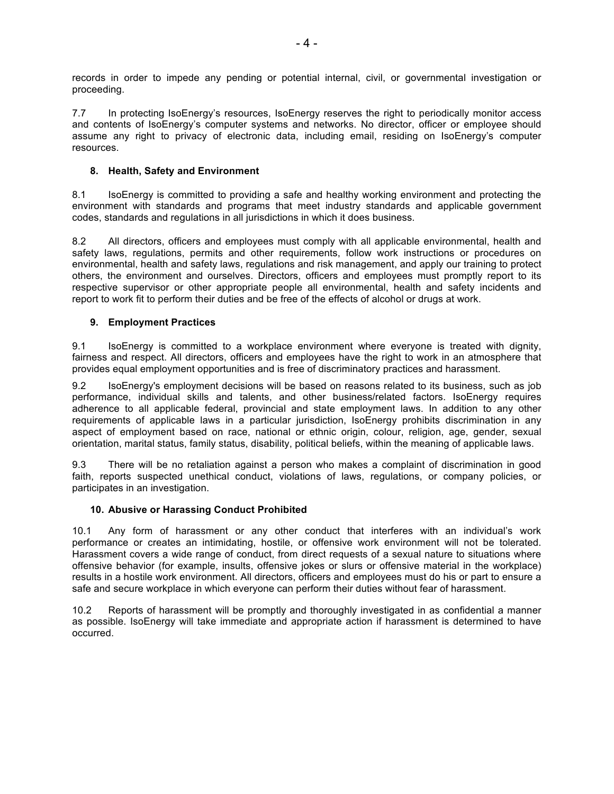records in order to impede any pending or potential internal, civil, or governmental investigation or proceeding.

7.7 In protecting IsoEnergy's resources, IsoEnergy reserves the right to periodically monitor access and contents of IsoEnergy's computer systems and networks. No director, officer or employee should assume any right to privacy of electronic data, including email, residing on IsoEnergy's computer resources.

## **8. Health, Safety and Environment**

8.1 IsoEnergy is committed to providing a safe and healthy working environment and protecting the environment with standards and programs that meet industry standards and applicable government codes, standards and regulations in all jurisdictions in which it does business.

8.2 All directors, officers and employees must comply with all applicable environmental, health and safety laws, regulations, permits and other requirements, follow work instructions or procedures on environmental, health and safety laws, regulations and risk management, and apply our training to protect others, the environment and ourselves. Directors, officers and employees must promptly report to its respective supervisor or other appropriate people all environmental, health and safety incidents and report to work fit to perform their duties and be free of the effects of alcohol or drugs at work.

# **9. Employment Practices**

9.1 IsoEnergy is committed to a workplace environment where everyone is treated with dignity, fairness and respect. All directors, officers and employees have the right to work in an atmosphere that provides equal employment opportunities and is free of discriminatory practices and harassment.

9.2 IsoEnergy's employment decisions will be based on reasons related to its business, such as job performance, individual skills and talents, and other business/related factors. IsoEnergy requires adherence to all applicable federal, provincial and state employment laws. In addition to any other requirements of applicable laws in a particular jurisdiction, IsoEnergy prohibits discrimination in any aspect of employment based on race, national or ethnic origin, colour, religion, age, gender, sexual orientation, marital status, family status, disability, political beliefs, within the meaning of applicable laws.

9.3 There will be no retaliation against a person who makes a complaint of discrimination in good faith, reports suspected unethical conduct, violations of laws, regulations, or company policies, or participates in an investigation.

## **10. Abusive or Harassing Conduct Prohibited**

10.1 Any form of harassment or any other conduct that interferes with an individual's work performance or creates an intimidating, hostile, or offensive work environment will not be tolerated. Harassment covers a wide range of conduct, from direct requests of a sexual nature to situations where offensive behavior (for example, insults, offensive jokes or slurs or offensive material in the workplace) results in a hostile work environment. All directors, officers and employees must do his or part to ensure a safe and secure workplace in which everyone can perform their duties without fear of harassment.

10.2 Reports of harassment will be promptly and thoroughly investigated in as confidential a manner as possible. IsoEnergy will take immediate and appropriate action if harassment is determined to have occurred.